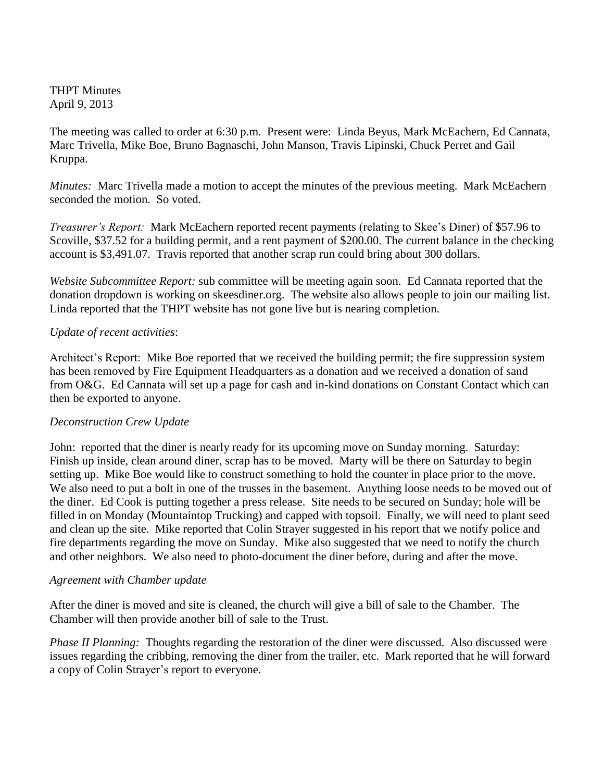THPT Minutes April 9, 2013

The meeting was called to order at 6:30 p.m. Present were: Linda Beyus, Mark McEachern, Ed Cannata, Marc Trivella, Mike Boe, Bruno Bagnaschi, John Manson, Travis Lipinski, Chuck Perret and Gail Kruppa.

*Minutes:* Marc Trivella made a motion to accept the minutes of the previous meeting. Mark McEachern seconded the motion. So voted.

*Treasurer's Report:* Mark McEachern reported recent payments (relating to Skee's Diner) of \$57.96 to Scoville, \$37.52 for a building permit, and a rent payment of \$200.00. The current balance in the checking account is \$3,491.07. Travis reported that another scrap run could bring about 300 dollars.

*Website Subcommittee Report:* sub committee will be meeting again soon. Ed Cannata reported that the donation dropdown is working on skeesdiner.org. The website also allows people to join our mailing list. Linda reported that the THPT website has not gone live but is nearing completion.

## *Update of recent activities*:

Architect's Report: Mike Boe reported that we received the building permit; the fire suppression system has been removed by Fire Equipment Headquarters as a donation and we received a donation of sand from O&G. Ed Cannata will set up a page for cash and in-kind donations on Constant Contact which can then be exported to anyone.

## *Deconstruction Crew Update*

John: reported that the diner is nearly ready for its upcoming move on Sunday morning. Saturday: Finish up inside, clean around diner, scrap has to be moved. Marty will be there on Saturday to begin setting up. Mike Boe would like to construct something to hold the counter in place prior to the move. We also need to put a bolt in one of the trusses in the basement. Anything loose needs to be moved out of the diner. Ed Cook is putting together a press release. Site needs to be secured on Sunday; hole will be filled in on Monday (Mountaintop Trucking) and capped with topsoil. Finally, we will need to plant seed and clean up the site. Mike reported that Colin Strayer suggested in his report that we notify police and fire departments regarding the move on Sunday. Mike also suggested that we need to notify the church and other neighbors. We also need to photo-document the diner before, during and after the move.

## *Agreement with Chamber update*

After the diner is moved and site is cleaned, the church will give a bill of sale to the Chamber. The Chamber will then provide another bill of sale to the Trust.

*Phase II Planning:* Thoughts regarding the restoration of the diner were discussed. Also discussed were issues regarding the cribbing, removing the diner from the trailer, etc. Mark reported that he will forward a copy of Colin Strayer's report to everyone.